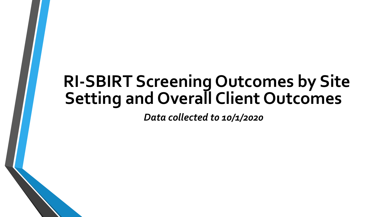### **RI-SBIRT Screening Outcomes by Site Setting and Overall Client Outcomes**

*Data collected t0 10/1/2020*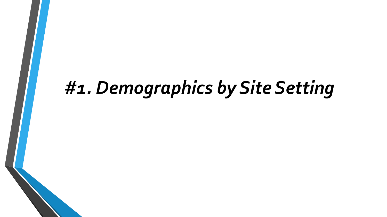# *#1. Demographics by Site Setting*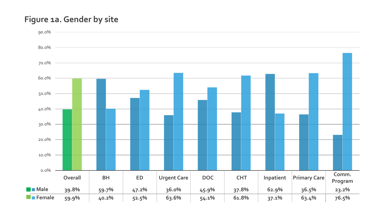#### **Figure 1a. Gender by site**

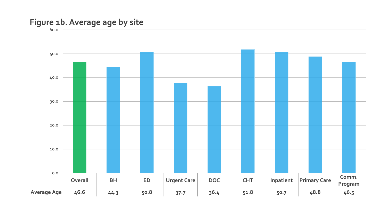#### **Figure 1b. Average age by site**

60.0

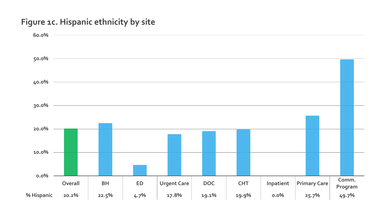#### **Figure 1c. Hispanic ethnicity by site**

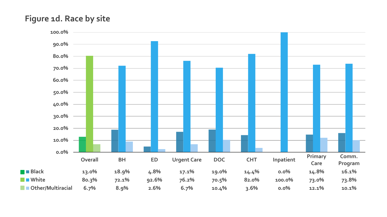#### **Figure 1d. Race by site**

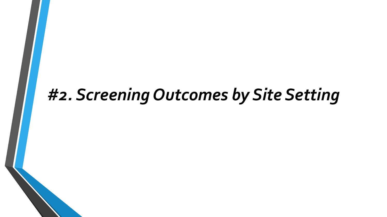## *#2. Screening Outcomes by Site Setting*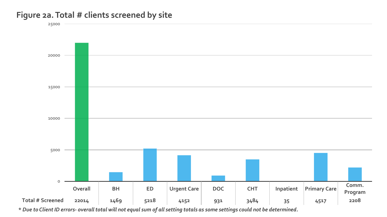#### **Figure 2a. Total # clients screened by site**

25000



**\*** *Due to Client ID errors- overall total will not equal sum of all setting totals as some settings could not be determined.*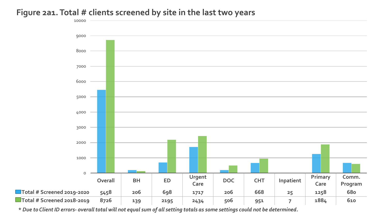#### **Figure 2a1. Total # clients screened by site in the last two years**



**\*** *Due to Client ID errors- overall total will not equal sum of all setting totals as some settings could not be determined.*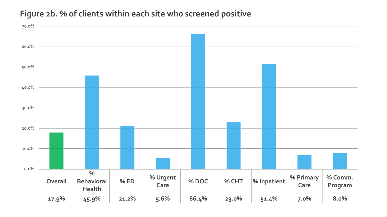#### Figure 2b. % of clients within each site who screened positive

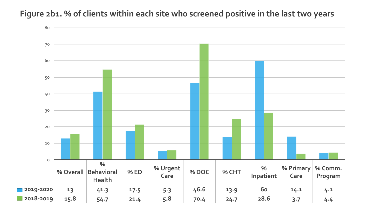

#### Figure 2b1. % of clients within each site who screened positive in the last two years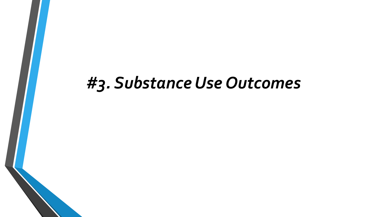### *#3. Substance Use Outcomes*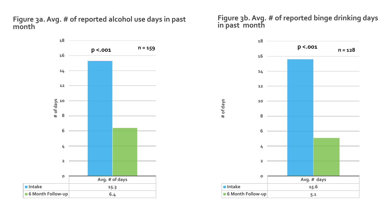**Figure 3a. Avg. # of reported alcohol use days in past month**



**Figure 3b. Avg. # of reported binge drinking days in past month**

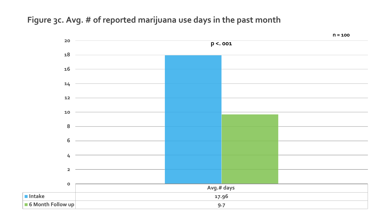#### **Figure 3c. Avg. # of reported marijuana use days in the past month**

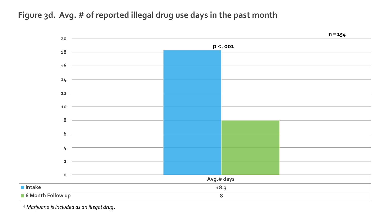**Figure 3d. Avg. # of reported illegal drug use days in the past month**



*\* Marijuana is included as an illegal drug*.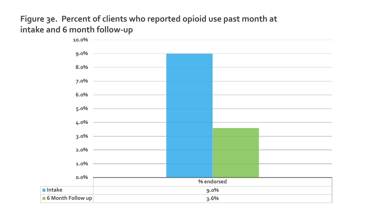#### **Figure 3e. Percent of clients who reported opioid use past month at intake and 6 month follow-up**

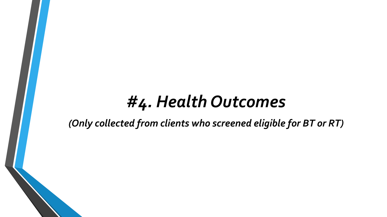### *#4. Health Outcomes*

*(Only collected from clients who screened eligible for BT or RT)*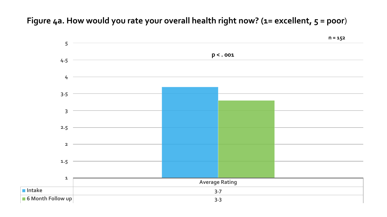#### Figure 4a. How would you rate your overall health right now? (1= excellent, 5 = poor)

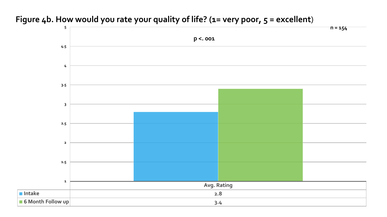### **Avg. Rating Intake 2.8 6 Month Follow up 3.4 1 1.5 2 2.5 3 3.5 4 4.5 5 p <. 001 n = 154**

#### Figure 4b. How would you rate your quality of life? (1= very poor, 5 = excellent)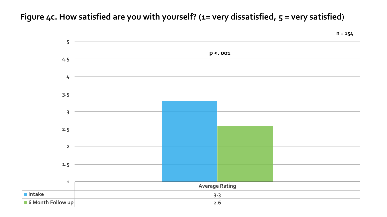**Figure 4c. How satisfied are you with yourself? (1= very dissatisfied, 5 = very satisfied**)

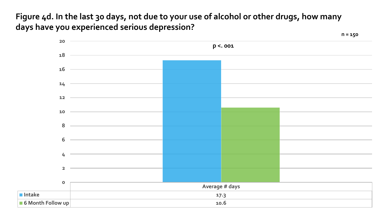**Figure 4d. In the last 30 days, not due to your use of alcohol or other drugs, how many days have you experienced serious depression?**